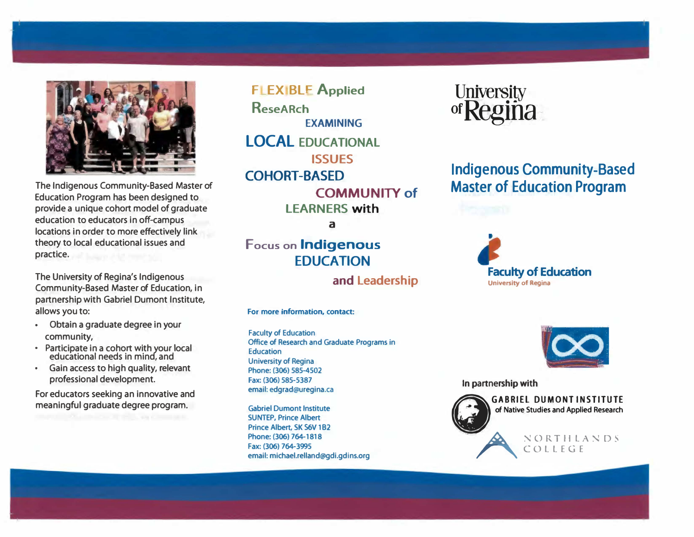

**The Indigenous Community-Based Master of Education Program has been designed to provide a unique cohort model of graduate education to educators in off-campus locations in order to more effectively link theory to local educational issues and practice.**

**The University of Regina's Indigenous Community-Based Master of Education, in partnership with Gabriel Dumont Institute, allows you to:**

- **• Obtain a graduate degree in your community,**
- **• Participate in a cohort with your local educational needs in mind, and**
- **• Gain access to high quality, relevant professional development.**

**For educators seeking an innovative and meaningful graduate degree program.**

**FLEXIBLE Applied ReseARch EXAMINING LOCAL EDUCATIONAL ISSUES COHORT-BASED COMMUNITY of LEARNERS with** 

a

**Focus on Indigenous EDUCATION** 

**and Leadership** 

#### **For more information, contact:**

**Faculty of Education Office of Research and Graduate Programs in Education University of Regina Phone: (306) 585-4502 Fax: (306) 585-5387 email: edgrad@uregina.ca** 

**Gabriel Dumont Institute SUNTEP, Prince Albert Prince Albert, SK 56V 182 Phone: (306) 764-1818 Fax: (306) 764-3995 email: michael.relland@gdi.gdins.org** 



**Indigenous Community-Based Master of Education Program**







**GABRIEL DUMONT INSTITUTE of Native Studies and Applied Research**